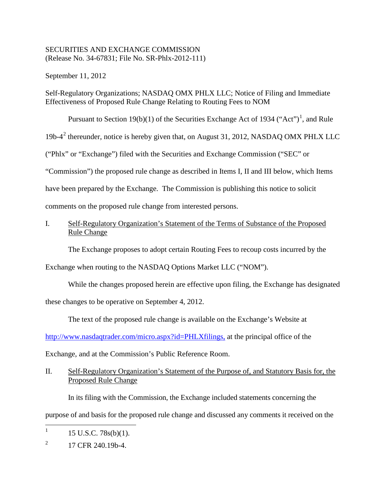## SECURITIES AND EXCHANGE COMMISSION (Release No. 34-67831; File No. SR-Phlx-2012-111)

September 11, 2012

Self-Regulatory Organizations; NASDAQ OMX PHLX LLC; Notice of Filing and Immediate Effectiveness of Proposed Rule Change Relating to Routing Fees to NOM

Pursuant to Section [1](#page-0-0)9(b)(1) of the Securities Exchange Act of 1934 ("Act")<sup>1</sup>, and Rule

19b-4[2](#page-0-1) thereunder, notice is hereby given that, on August 31, 2012, NASDAQ OMX PHLX LLC

("Phlx" or "Exchange") filed with the Securities and Exchange Commission ("SEC" or

"Commission") the proposed rule change as described in Items I, II and III below, which Items

have been prepared by the Exchange. The Commission is publishing this notice to solicit

comments on the proposed rule change from interested persons.

# I. Self-Regulatory Organization's Statement of the Terms of Substance of the Proposed Rule Change

The Exchange proposes to adopt certain Routing Fees to recoup costs incurred by the

Exchange when routing to the NASDAQ Options Market LLC ("NOM").

While the changes proposed herein are effective upon filing, the Exchange has designated

these changes to be operative on September 4, 2012.

The text of the proposed rule change is available on the Exchange's Website at

http://www.nasdaqtrader.com/micro.aspx?id=PHLXfilings, at the principal office of the

Exchange, and at the Commission's Public Reference Room.

# II. Self-Regulatory Organization's Statement of the Purpose of, and Statutory Basis for, the Proposed Rule Change

In its filing with the Commission, the Exchange included statements concerning the

purpose of and basis for the proposed rule change and discussed any comments it received on the

<span id="page-0-0"></span><sup>&</sup>lt;sup>1</sup> 15 U.S.C. 78s(b)(1).

<span id="page-0-1"></span> $^{2}$  17 CFR 240.19b-4.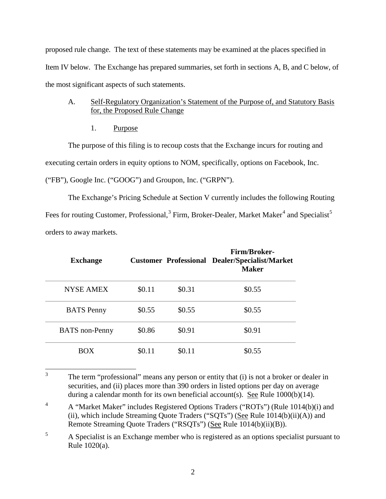proposed rule change. The text of these statements may be examined at the places specified in Item IV below. The Exchange has prepared summaries, set forth in sections A, B, and C below, of the most significant aspects of such statements.

## A. Self-Regulatory Organization's Statement of the Purpose of, and Statutory Basis for, the Proposed Rule Change

1. Purpose

The purpose of this filing is to recoup costs that the Exchange incurs for routing and executing certain orders in equity options to NOM, specifically, options on Facebook, Inc. ("FB"), Google Inc. ("GOOG") and Groupon, Inc. ("GRPN").

The Exchange's Pricing Schedule at Section V currently includes the following Routing Fees for routing Customer, Professional,<sup>[3](#page-1-0)</sup> Firm, Broker-Dealer, Market Maker<sup>[4](#page-1-1)</sup> and Specialist<sup>[5](#page-1-2)</sup> orders to away markets.

| <b>Exchange</b>       |        |        | <b>Firm/Broker-</b><br><b>Customer Professional Dealer/Specialist/Market</b><br><b>Maker</b> |
|-----------------------|--------|--------|----------------------------------------------------------------------------------------------|
| <b>NYSE AMEX</b>      | \$0.11 | \$0.31 | \$0.55                                                                                       |
| <b>BATS</b> Penny     | \$0.55 | \$0.55 | \$0.55                                                                                       |
| <b>BATS</b> non-Penny | \$0.86 | \$0.91 | \$0.91                                                                                       |
| <b>ROX</b>            | \$0.11 | \$0.11 | \$0.55                                                                                       |

<span id="page-1-0"></span><sup>&</sup>lt;sup>3</sup> The term "professional" means any person or entity that (i) is not a broker or dealer in securities, and (ii) places more than 390 orders in listed options per day on average during a calendar month for its own beneficial account(s). See Rule 1000(b)(14).

<span id="page-1-1"></span><sup>&</sup>lt;sup>4</sup> A "Market Maker" includes Registered Options Traders ("ROTs") (Rule 1014(b)(i) and (ii), which include Streaming Quote Traders (" $SQTs$ ") (See Rule 1014(b)(ii)(A)) and Remote Streaming Quote Traders ("RSQTs") (See Rule 1014(b)(ii)(B)).

<span id="page-1-2"></span><sup>&</sup>lt;sup>5</sup> A Specialist is an Exchange member who is registered as an options specialist pursuant to Rule 1020(a).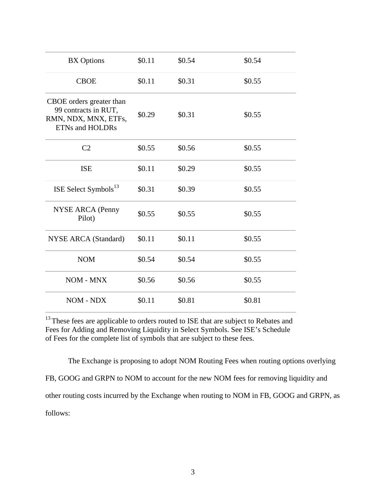| <b>BX</b> Options                                                                                  | \$0.11 | \$0.54 | \$0.54 |
|----------------------------------------------------------------------------------------------------|--------|--------|--------|
| <b>CBOE</b>                                                                                        | \$0.11 | \$0.31 | \$0.55 |
| CBOE orders greater than<br>99 contracts in RUT,<br>RMN, NDX, MNX, ETFs,<br><b>ETNs and HOLDRs</b> | \$0.29 | \$0.31 | \$0.55 |
| C <sub>2</sub>                                                                                     | \$0.55 | \$0.56 | \$0.55 |
| <b>ISE</b>                                                                                         | \$0.11 | \$0.29 | \$0.55 |
| ISE Select Symbols <sup>13</sup>                                                                   | \$0.31 | \$0.39 | \$0.55 |
| <b>NYSE ARCA (Penny</b><br>Pilot)                                                                  | \$0.55 | \$0.55 | \$0.55 |
| <b>NYSE ARCA (Standard)</b>                                                                        | \$0.11 | \$0.11 | \$0.55 |
| <b>NOM</b>                                                                                         | \$0.54 | \$0.54 | \$0.55 |
| NOM - MNX                                                                                          | \$0.56 | \$0.56 | \$0.55 |
| NOM - NDX                                                                                          | \$0.11 | \$0.81 | \$0.81 |

<sup>13</sup> These fees are applicable to orders routed to ISE that are subject to Rebates and Fees for Adding and Removing Liquidity in Select Symbols. See ISE's Schedule of Fees for the complete list of symbols that are subject to these fees.

The Exchange is proposing to adopt NOM Routing Fees when routing options overlying FB, GOOG and GRPN to NOM to account for the new NOM fees for removing liquidity and other routing costs incurred by the Exchange when routing to NOM in FB, GOOG and GRPN, as follows: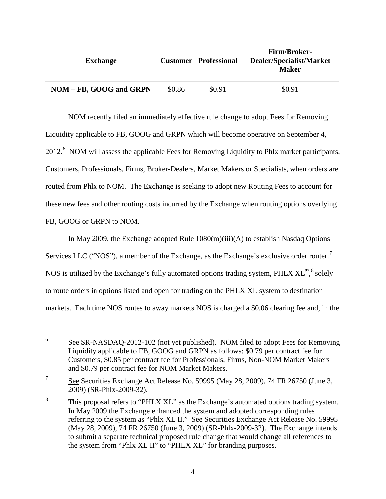| <b>Exchange</b>         |        | <b>Customer</b> Professional | <b>Firm/Broker-</b><br>Dealer/Specialist/Market<br>Maker |
|-------------------------|--------|------------------------------|----------------------------------------------------------|
| NOM - FB, GOOG and GRPN | \$0.86 | \$0.91                       | \$0.91                                                   |

NOM recently filed an immediately effective rule change to adopt Fees for Removing Liquidity applicable to FB, GOOG and GRPN which will become operative on September 4, 2012.<sup>[6](#page-3-0)</sup> NOM will assess the applicable Fees for Removing Liquidity to Phlx market participants, Customers, Professionals, Firms, Broker-Dealers, Market Makers or Specialists, when orders are routed from Phlx to NOM. The Exchange is seeking to adopt new Routing Fees to account for these new fees and other routing costs incurred by the Exchange when routing options overlying FB, GOOG or GRPN to NOM.

In May 2009, the Exchange adopted Rule 1080(m)(iii)(A) to establish Nasdaq Options Services LLC ("NOS"), a member of the Exchange, as the Exchange's exclusive order router.<sup>[7](#page-3-1)</sup> NOS is utilized by the Exchange's fully automated options trading system, PHLX  $\text{XL}^{\circledast, \text{8}}$  $\text{XL}^{\circledast, \text{8}}$  $\text{XL}^{\circledast, \text{8}}$  solely to route orders in options listed and open for trading on the PHLX XL system to destination markets. Each time NOS routes to away markets NOS is charged a \$0.06 clearing fee and, in the

<span id="page-3-0"></span> $6 \qquad \underline{\text{See}$  SR-NASDAQ-2012-102 (not yet published). NOM filed to adopt Fees for Removing Liquidity applicable to FB, GOOG and GRPN as follows: \$0.79 per contract fee for Customers, \$0.85 per contract fee for Professionals, Firms, Non-NOM Market Makers and \$0.79 per contract fee for NOM Market Makers.

<span id="page-3-1"></span><sup>&</sup>lt;sup>7</sup> See Securities Exchange Act Release No. 59995 (May 28, 2009), 74 FR 26750 (June 3, 2009) (SR-Phlx-2009-32).

<span id="page-3-2"></span><sup>&</sup>lt;sup>8</sup> This proposal refers to "PHLX XL" as the Exchange's automated options trading system. In May 2009 the Exchange enhanced the system and adopted corresponding rules referring to the system as "Phlx XL II." See Securities Exchange Act Release No. 59995 (May 28, 2009), 74 FR 26750 (June 3, 2009) (SR-Phlx-2009-32). The Exchange intends to submit a separate technical proposed rule change that would change all references to the system from "Phlx XL II" to "PHLX XL" for branding purposes.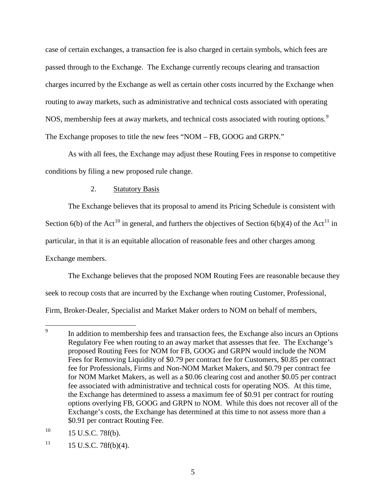case of certain exchanges, a transaction fee is also charged in certain symbols, which fees are passed through to the Exchange. The Exchange currently recoups clearing and transaction charges incurred by the Exchange as well as certain other costs incurred by the Exchange when routing to away markets, such as administrative and technical costs associated with operating NOS, membership fees at away markets, and technical costs associated with routing options.<sup>[9](#page-4-0)</sup> The Exchange proposes to title the new fees "NOM – FB, GOOG and GRPN."

As with all fees, the Exchange may adjust these Routing Fees in response to competitive conditions by filing a new proposed rule change.

### 2. Statutory Basis

The Exchange believes that its proposal to amend its Pricing Schedule is consistent with Section 6(b) of the Act<sup>[10](#page-4-1)</sup> in general, and furthers the objectives of Section 6(b)(4) of the Act<sup>[11](#page-4-2)</sup> in particular, in that it is an equitable allocation of reasonable fees and other charges among Exchange members.

The Exchange believes that the proposed NOM Routing Fees are reasonable because they seek to recoup costs that are incurred by the Exchange when routing Customer, Professional, Firm, Broker-Dealer, Specialist and Market Maker orders to NOM on behalf of members,

<span id="page-4-1"></span> $10$  15 U.S.C. 78f(b).

<span id="page-4-2"></span> $11$  15 U.S.C. 78f(b)(4).

<span id="page-4-0"></span><sup>&</sup>lt;sup>9</sup> In addition to membership fees and transaction fees, the Exchange also incurs an Options Regulatory Fee when routing to an away market that assesses that fee. The Exchange's proposed Routing Fees for NOM for FB, GOOG and GRPN would include the NOM Fees for Removing Liquidity of \$0.79 per contract fee for Customers, \$0.85 per contract fee for Professionals, Firms and Non-NOM Market Makers, and \$0.79 per contract fee for NOM Market Makers, as well as a \$0.06 clearing cost and another \$0.05 per contract fee associated with administrative and technical costs for operating NOS. At this time, the Exchange has determined to assess a maximum fee of \$0.91 per contract for routing options overlying FB, GOOG and GRPN to NOM. While this does not recover all of the Exchange's costs, the Exchange has determined at this time to not assess more than a \$0.91 per contract Routing Fee.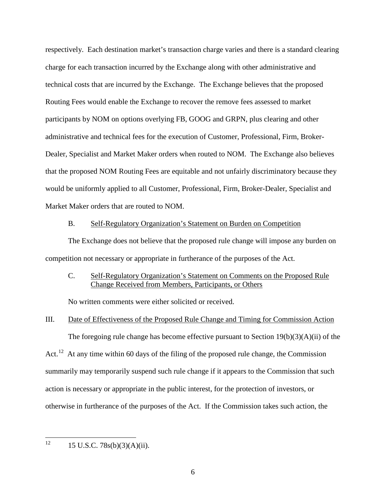respectively. Each destination market's transaction charge varies and there is a standard clearing charge for each transaction incurred by the Exchange along with other administrative and technical costs that are incurred by the Exchange. The Exchange believes that the proposed Routing Fees would enable the Exchange to recover the remove fees assessed to market participants by NOM on options overlying FB, GOOG and GRPN, plus clearing and other administrative and technical fees for the execution of Customer, Professional, Firm, Broker-Dealer, Specialist and Market Maker orders when routed to NOM. The Exchange also believes that the proposed NOM Routing Fees are equitable and not unfairly discriminatory because they would be uniformly applied to all Customer, Professional, Firm, Broker-Dealer, Specialist and Market Maker orders that are routed to NOM.

#### B. Self-Regulatory Organization's Statement on Burden on Competition

The Exchange does not believe that the proposed rule change will impose any burden on competition not necessary or appropriate in furtherance of the purposes of the Act.

### C. Self-Regulatory Organization's Statement on Comments on the Proposed Rule Change Received from Members, Participants, or Others

No written comments were either solicited or received.

### III. Date of Effectiveness of the Proposed Rule Change and Timing for Commission Action

The foregoing rule change has become effective pursuant to Section 19(b)(3)(A)(ii) of the Act.<sup>[12](#page-5-0)</sup> At any time within 60 days of the filing of the proposed rule change, the Commission summarily may temporarily suspend such rule change if it appears to the Commission that such action is necessary or appropriate in the public interest, for the protection of investors, or otherwise in furtherance of the purposes of the Act. If the Commission takes such action, the

<span id="page-5-0"></span> $12 \qquad 15 \text{ U.S.C. } 78\text{s(b)}(3)(\text{A})(\text{ii}).$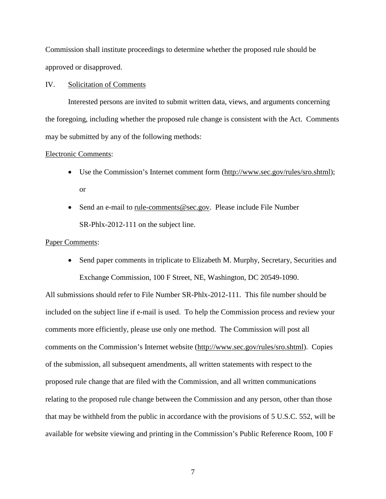Commission shall institute proceedings to determine whether the proposed rule should be approved or disapproved.

#### IV. Solicitation of Comments

Interested persons are invited to submit written data, views, and arguments concerning the foregoing, including whether the proposed rule change is consistent with the Act. Comments may be submitted by any of the following methods:

#### Electronic Comments:

- Use the Commission's Internet comment form [\(http://www.sec.gov/rules/sro.shtml\)](http://www.sec.gov/rules/sro.shtml); or
- Send an e-mail to [rule-comments@sec.gov.](mailto:rule-comments@sec.gov) Please include File Number SR-Phlx-2012-111 on the subject line.

#### Paper Comments:

• Send paper comments in triplicate to Elizabeth M. Murphy, Secretary, Securities and Exchange Commission, 100 F Street, NE, Washington, DC 20549-1090.

All submissions should refer to File Number SR-Phlx-2012-111. This file number should be included on the subject line if e-mail is used. To help the Commission process and review your comments more efficiently, please use only one method. The Commission will post all comments on the Commission's Internet website (http://www.sec.gov/rules/sro.shtml). Copies of the submission, all subsequent amendments, all written statements with respect to the proposed rule change that are filed with the Commission, and all written communications relating to the proposed rule change between the Commission and any person, other than those that may be withheld from the public in accordance with the provisions of 5 U.S.C. 552, will be available for website viewing and printing in the Commission's Public Reference Room, 100 F

7